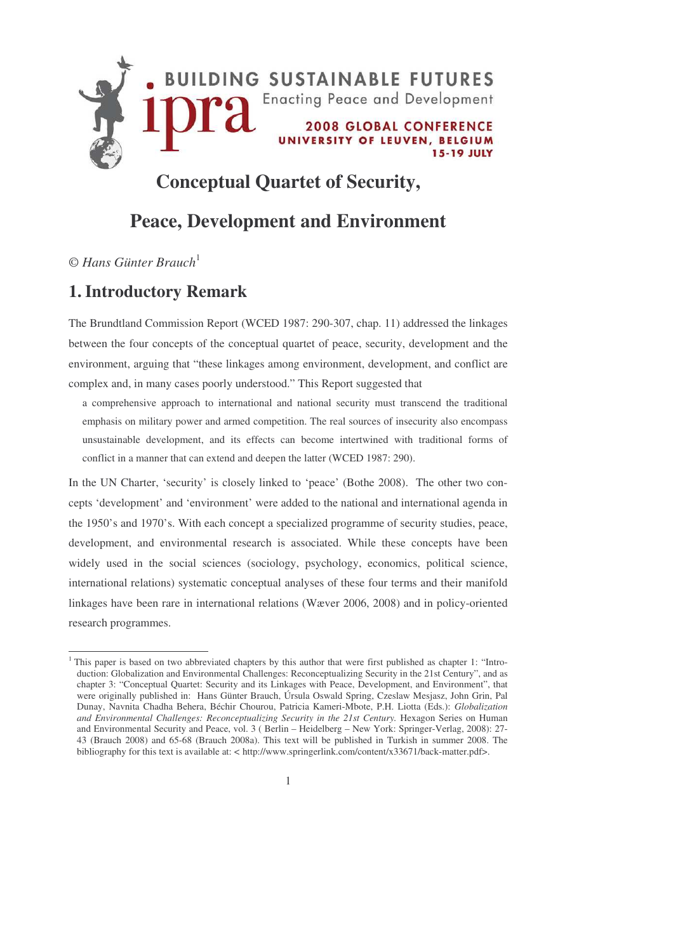

# **Conceptual Quartet of Security,**

# **Peace, Development and Environment**

*© Hans Günter Brauch* 1

# **1.Introductory Remark**

The Brundtland Commission Report (WCED 1987: 290-307, chap. 11) addressed the linkages between the four concepts of the conceptual quartet of peace, security, development and the environment, arguing that "these linkages among environment, development, and conflict are complex and, in many cases poorly understood." This Report suggested that

a comprehensive approach to international and national security must transcend the traditional emphasis on military power and armed competition. The real sources of insecurity also encompass unsustainable development, and its effects can become intertwined with traditional forms of conflict in a manner that can extend and deepen the latter (WCED 1987: 290).

In the UN Charter, 'security' is closely linked to 'peace' (Bothe 2008). The other two concepts 'development' and 'environment' were added to the national and international agenda in the 1950's and 1970's. With each concept a specialized programme of security studies, peace, development, and environmental research is associated. While these concepts have been widely used in the social sciences (sociology, psychology, economics, political science, international relations) systematic conceptual analyses of these four terms and their manifold linkages have been rare in international relations (Wæver 2006, 2008) and in policy-oriented research programmes.

 $1$  This paper is based on two abbreviated chapters by this author that were first published as chapter 1: "Introduction: Globalization and Environmental Challenges: Reconceptualizing Security in the 21st Century", and as chapter 3: "Conceptual Quartet: Security and its Linkages with Peace, Development, and Environment", that were originally published in: Hans Günter Brauch, Úrsula Oswald Spring, Czeslaw Mesjasz, John Grin, Pal Dunay, Navnita Chadha Behera, Béchir Chourou, Patricia Kameri-Mbote, P.H. Liotta (Eds.): *Globalization and Environmental Challenges: Reconceptualizing Security in the 21st Century.* Hexagon Series on Human and Environmental Security and Peace, vol. 3 ( Berlin – Heidelberg – New York: Springer-Verlag, 2008): 27- 43 (Brauch 2008) and 65-68 (Brauch 2008a). This text will be published in Turkish in summer 2008. The bibliography for this text is available at: < http://www.springerlink.com/content/x33671/back-matter.pdf>.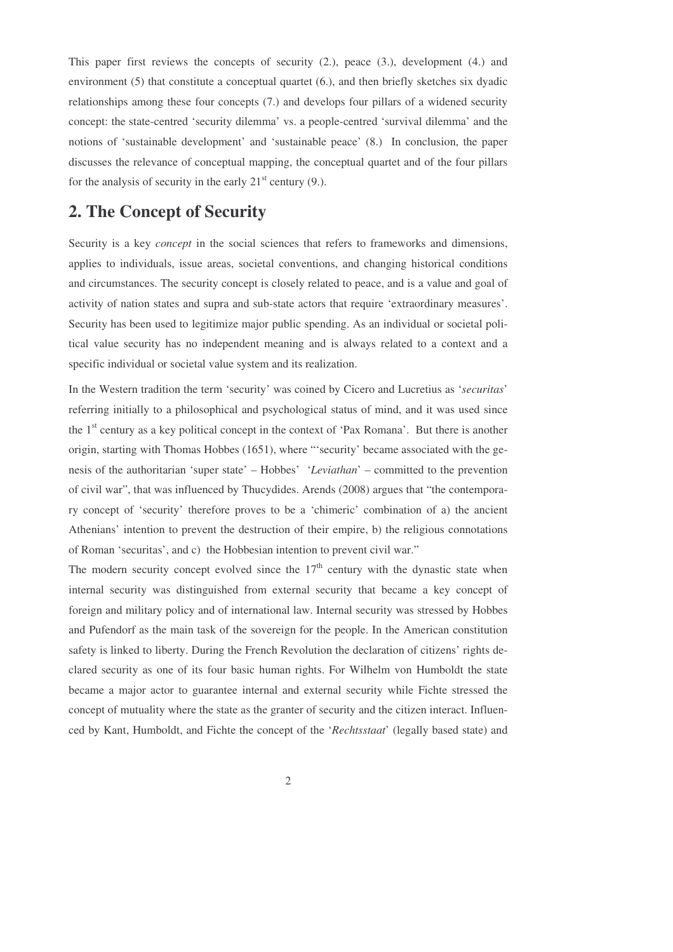This paper first reviews the concepts of security (2.), peace (3.), development (4.) and environment (5) that constitute a conceptual quartet (6.), and then briefly sketches six dyadic relationships among these four concepts (7.) and develops four pillars of a widened security concept: the state-centred 'security dilemma' vs. a people-centred 'survival dilemma' and the notions of 'sustainable development' and 'sustainable peace' (8.) In conclusion, the paper discusses the relevance of conceptual mapping, the conceptual quartet and of the four pillars for the analysis of security in the early  $21<sup>st</sup>$  century (9.).

## **2. The Concept of Security**

Security is a key *concept* in the social sciences that refers to frameworks and dimensions, applies to individuals, issue areas, societal conventions, and changing historical conditions and circumstances. The security concept is closely related to peace, and is a value and goal of activity of nation states and supra and sub-state actors that require 'extraordinary measures'. Security has been used to legitimize major public spending. As an individual or societal political value security has no independent meaning and is always related to a context and a specific individual or societal value system and its realization.

In the Western tradition the term 'security' was coined by Cicero and Lucretius as '*securitas*' referring initially to a philosophical and psychological status of mind, and it was used since the 1<sup>st</sup> century as a key political concept in the context of 'Pax Romana'. But there is another origin, starting with Thomas Hobbes (1651), where "'security' became associated with the genesis of the authoritarian 'super state' – Hobbes' '*Leviathan*' – committed to the prevention of civil war", that was influenced by Thucydides. Arends (2008) argues that "the contemporary concept of 'security' therefore proves to be a 'chimeric' combination of a) the ancient Athenians' intention to prevent the destruction of their empire, b) the religious connotations of Roman 'securitas', and c) the Hobbesian intention to prevent civil war."

The modern security concept evolved since the  $17<sup>th</sup>$  century with the dynastic state when internal security was distinguished from external security that became a key concept of foreign and military policy and of international law. Internal security was stressed by Hobbes and Pufendorf as the main task of the sovereign for the people. In the American constitution safety is linked to liberty. During the French Revolution the declaration of citizens' rights declared security as one of its four basic human rights. For Wilhelm von Humboldt the state became a major actor to guarantee internal and external security while Fichte stressed the concept of mutuality where the state as the granter of security and the citizen interact. Influenced by Kant, Humboldt, and Fichte the concept of the '*Rechtsstaat*' (legally based state) and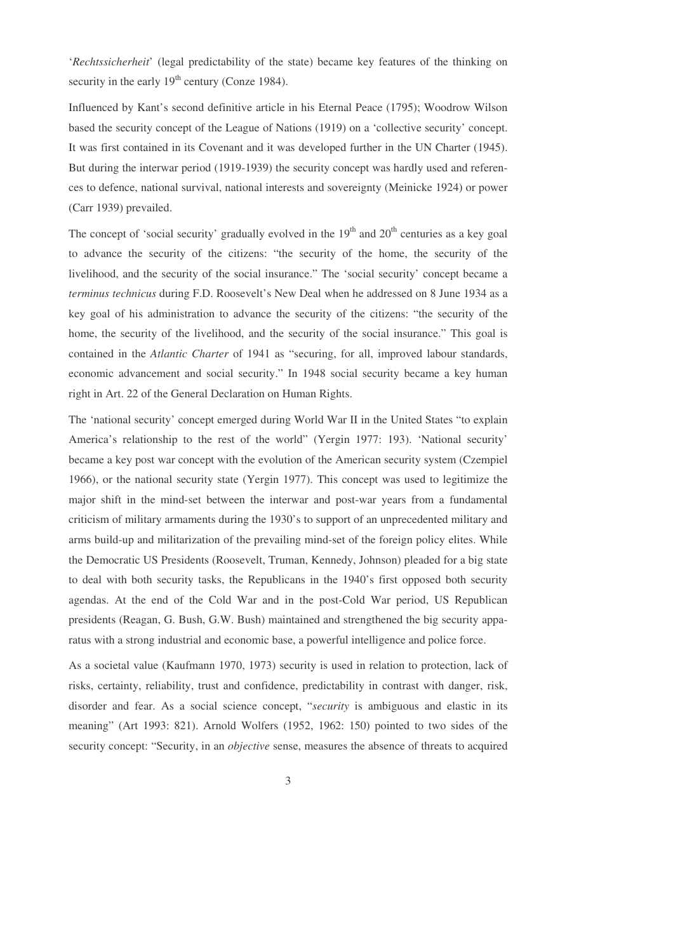'*Rechtssicherheit*' (legal predictability of the state) became key features of the thinking on security in the early  $19<sup>th</sup>$  century (Conze 1984).

Influenced by Kant's second definitive article in his Eternal Peace (1795); Woodrow Wilson based the security concept of the League of Nations (1919) on a 'collective security' concept. It was first contained in its Covenant and it was developed further in the UN Charter (1945). But during the interwar period (1919-1939) the security concept was hardly used and references to defence, national survival, national interests and sovereignty (Meinicke 1924) or power (Carr 1939) prevailed.

The concept of 'social security' gradually evolved in the  $19<sup>th</sup>$  and  $20<sup>th</sup>$  centuries as a key goal to advance the security of the citizens: "the security of the home, the security of the livelihood, and the security of the social insurance." The 'social security' concept became a *terminus technicus* during F.D. Roosevelt's New Deal when he addressed on 8 June 1934 as a key goal of his administration to advance the security of the citizens: "the security of the home, the security of the livelihood, and the security of the social insurance." This goal is contained in the *Atlantic Charter* of 1941 as "securing, for all, improved labour standards, economic advancement and social security." In 1948 social security became a key human right in Art. 22 of the General Declaration on Human Rights.

The 'national security' concept emerged during World War II in the United States "to explain America's relationship to the rest of the world" (Yergin 1977: 193). 'National security' became a key post war concept with the evolution of the American security system (Czempiel 1966), or the national security state (Yergin 1977). This concept was used to legitimize the major shift in the mind-set between the interwar and post-war years from a fundamental criticism of military armaments during the 1930's to support of an unprecedented military and arms build-up and militarization of the prevailing mind-set of the foreign policy elites. While the Democratic US Presidents (Roosevelt, Truman, Kennedy, Johnson) pleaded for a big state to deal with both security tasks, the Republicans in the 1940's first opposed both security agendas. At the end of the Cold War and in the post-Cold War period, US Republican presidents (Reagan, G. Bush, G.W. Bush) maintained and strengthened the big security apparatus with a strong industrial and economic base, a powerful intelligence and police force.

As a societal value (Kaufmann 1970, 1973) security is used in relation to protection, lack of risks, certainty, reliability, trust and confidence, predictability in contrast with danger, risk, disorder and fear. As a social science concept, "*security* is ambiguous and elastic in its meaning" (Art 1993: 821). Arnold Wolfers (1952, 1962: 150) pointed to two sides of the security concept: "Security, in an *objective* sense, measures the absence of threats to acquired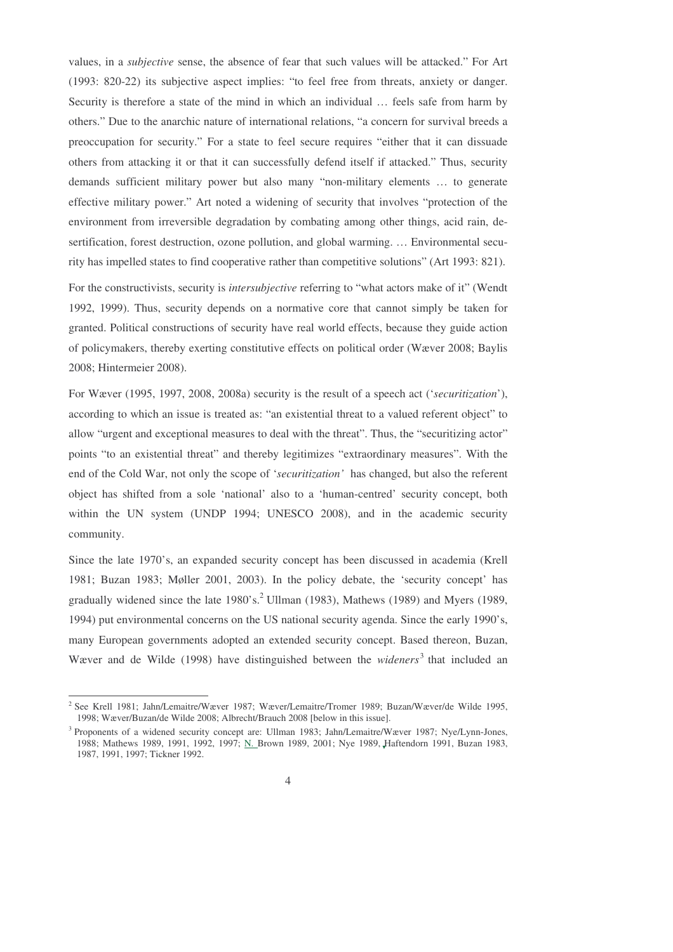values, in a *subjective* sense, the absence of fear that such values will be attacked." For Art (1993: 820-22) its subjective aspect implies: "to feel free from threats, anxiety or danger. Security is therefore a state of the mind in which an individual … feels safe from harm by others." Due to the anarchic nature of international relations, "a concern for survival breeds a preoccupation for security." For a state to feel secure requires "either that it can dissuade others from attacking it or that it can successfully defend itself if attacked." Thus, security demands sufficient military power but also many "non-military elements … to generate effective military power." Art noted a widening of security that involves "protection of the environment from irreversible degradation by combating among other things, acid rain, desertification, forest destruction, ozone pollution, and global warming. … Environmental security has impelled states to find cooperative rather than competitive solutions" (Art 1993: 821).

For the constructivists, security is *intersubjective* referring to "what actors make of it" (Wendt 1992, 1999). Thus, security depends on a normative core that cannot simply be taken for granted. Political constructions of security have real world effects, because they guide action of policymakers, thereby exerting constitutive effects on political order (Wæver 2008; Baylis 2008; Hintermeier 2008).

For Wæver (1995, 1997, 2008, 2008a) security is the result of a speech act ('*securitization*'), according to which an issue is treated as: "an existential threat to a valued referent object" to allow "urgent and exceptional measures to deal with the threat". Thus, the "securitizing actor" points "to an existential threat" and thereby legitimizes "extraordinary measures". With the end of the Cold War, not only the scope of '*securitization'* has changed, but also the referent object has shifted from a sole 'national' also to a 'human-centred' security concept, both within the UN system (UNDP 1994; UNESCO 2008), and in the academic security community.

Since the late 1970's, an expanded security concept has been discussed in academia (Krell 1981; Buzan 1983; Møller 2001, 2003). In the policy debate, the 'security concept' has gradually widened since the late 1980's.<sup>2</sup> Ullman (1983), Mathews (1989) and Myers (1989, 1994) put environmental concerns on the US national security agenda. Since the early 1990's, many European governments adopted an extended security concept. Based thereon, Buzan, Wæver and de Wilde (1998) have distinguished between the *wideners* 3 that included an

<sup>2</sup> See Krell 1981; Jahn/Lemaitre/Wæver 1987; Wæver/Lemaitre/Tromer 1989; Buzan/Wæver/de Wilde 1995, 1998; Wæver/Buzan/de Wilde 2008; Albrecht/Brauch 2008 [below in this issue].

<sup>3</sup> Proponents of a widened security concept are: Ullman 1983; Jahn/Lemaitre/Wæver 1987; Nye/Lynn-Jones, 1988; Mathews 1989, 1991, 1992, 1997; N. Brown 1989, 2001; Nye 1989, Haftendorn 1991, Buzan 1983, 1987, 1991, 1997; Tickner 1992.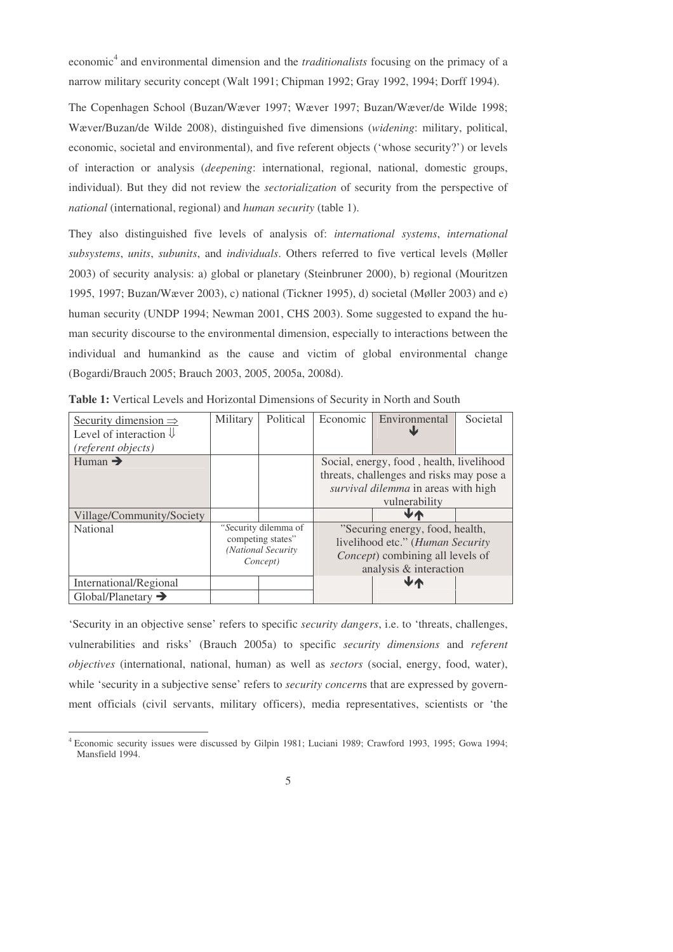economic 4 and environmental dimension and the *traditionalists* focusing on the primacy of a narrow military security concept (Walt 1991; Chipman 1992; Gray 1992, 1994; Dorff 1994).

The Copenhagen School (Buzan/Wæver 1997; Wæver 1997; Buzan/Wæver/de Wilde 1998; Wæver/Buzan/de Wilde 2008), distinguished five dimensions (*widening*: military, political, economic, societal and environmental), and five referent objects ('whose security?') or levels of interaction or analysis (*deepening*: international, regional, national, domestic groups, individual). But they did not review the *sectorialization* of security from the perspective of *national* (international, regional) and *human security* (table 1).

They also distinguished five levels of analysis of: *international systems*, *international subsystems*, *units*, *subunits*, and *individuals*. Others referred to five vertical levels (Møller 2003) of security analysis: a) global or planetary (Steinbruner 2000), b) regional (Mouritzen 1995, 1997; Buzan/Wæver 2003), c) national (Tickner 1995), d) societal (Møller 2003) and e) human security (UNDP 1994; Newman 2001, CHS 2003). Some suggested to expand the human security discourse to the environmental dimension, especially to interactions between the individual and humankind as the cause and victim of global environmental change (Bogardi/Brauch 2005; Brauch 2003, 2005, 2005a, 2008d).

| Security dimension $\Rightarrow$  | Military                                                                    | Political              | Economic                                 | Environmental | Societal |
|-----------------------------------|-----------------------------------------------------------------------------|------------------------|------------------------------------------|---------------|----------|
| Level of interaction $\Downarrow$ |                                                                             |                        |                                          |               |          |
| (referent objects)                |                                                                             |                        |                                          |               |          |
| Human $\rightarrow$               |                                                                             |                        | Social, energy, food, health, livelihood |               |          |
|                                   |                                                                             |                        | threats, challenges and risks may pose a |               |          |
|                                   |                                                                             |                        | survival dilemma in areas with high      |               |          |
|                                   |                                                                             |                        | vulnerability                            |               |          |
| Village/Community/Society         |                                                                             |                        |                                          |               |          |
| National                          | "Security dilemma of<br>competing states"<br>(National Security<br>Concept) |                        | "Securing energy, food, health,          |               |          |
|                                   |                                                                             |                        | livelihood etc." (Human Security         |               |          |
|                                   |                                                                             |                        | Concept) combining all levels of         |               |          |
|                                   |                                                                             | analysis & interaction |                                          |               |          |
| International/Regional            |                                                                             |                        |                                          | 业小            |          |
| Global/Planetary $\rightarrow$    |                                                                             |                        |                                          |               |          |

**Table 1:** Vertical Levels and Horizontal Dimensions of Security in North and South

'Security in an objective sense' refers to specific *security dangers*, i.e. to 'threats, challenges, vulnerabilities and risks' (Brauch 2005a) to specific *security dimensions* and *referent objectives* (international, national, human) as well as *sectors* (social, energy, food, water), while 'security in a subjective sense' refers to *security concern*s that are expressed by government officials (civil servants, military officers), media representatives, scientists or 'the

<sup>4</sup> Economic security issues were discussed by Gilpin 1981; Luciani 1989; Crawford 1993, 1995; Gowa 1994; Mansfield 1994.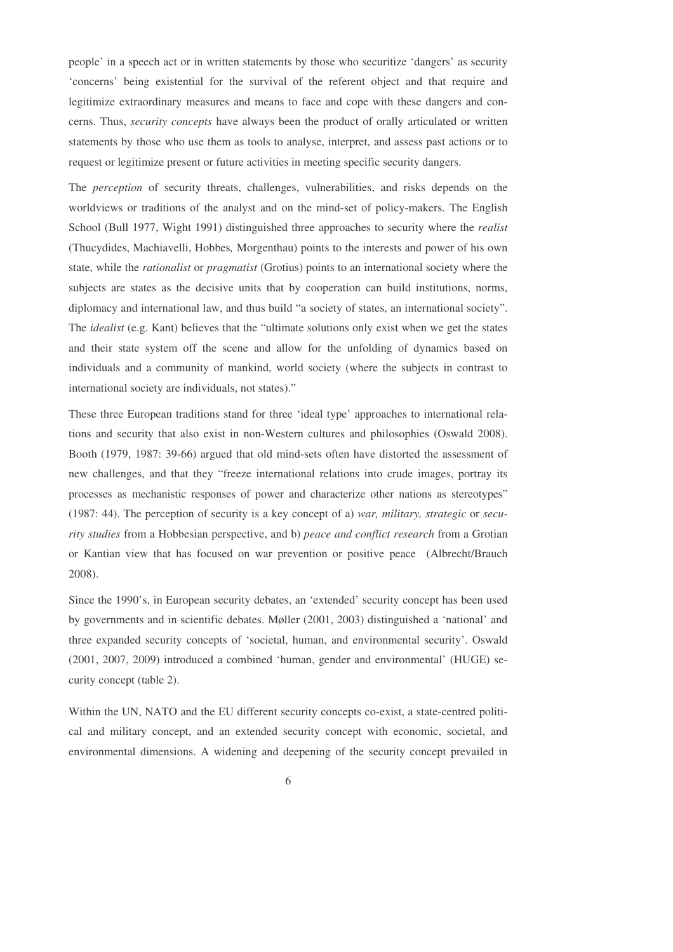people' in a speech act or in written statements by those who securitize 'dangers' as security 'concerns' being existential for the survival of the referent object and that require and legitimize extraordinary measures and means to face and cope with these dangers and concerns. Thus, *security concepts* have always been the product of orally articulated or written statements by those who use them as tools to analyse, interpret, and assess past actions or to request or legitimize present or future activities in meeting specific security dangers.

The *perception* of security threats, challenges, vulnerabilities, and risks depends on the worldviews or traditions of the analyst and on the mind-set of policy-makers. The English School (Bull 1977, Wight 1991) distinguished three approaches to security where the *realist* (Thucydides, Machiavelli, Hobbes*,* Morgenthau) points to the interests and power of his own state, while the *rationalist* or *pragmatist* (Grotius) points to an international society where the subjects are states as the decisive units that by cooperation can build institutions, norms, diplomacy and international law, and thus build "a society of states, an international society". The *idealist* (e.g. Kant) believes that the "ultimate solutions only exist when we get the states and their state system off the scene and allow for the unfolding of dynamics based on individuals and a community of mankind, world society (where the subjects in contrast to international society are individuals, not states)."

These three European traditions stand for three 'ideal type' approaches to international relations and security that also exist in non-Western cultures and philosophies (Oswald 2008). Booth (1979, 1987: 39-66) argued that old mind-sets often have distorted the assessment of new challenges, and that they "freeze international relations into crude images, portray its processes as mechanistic responses of power and characterize other nations as stereotypes" (1987: 44). The perception of security is a key concept of a) *war, military, strategic* or *security studies* from a Hobbesian perspective, and b) *peace and conflict research* from a Grotian or Kantian view that has focused on war prevention or positive peace (Albrecht/Brauch 2008).

Since the 1990's, in European security debates, an 'extended' security concept has been used by governments and in scientific debates. Møller (2001, 2003) distinguished a 'national' and three expanded security concepts of 'societal, human, and environmental security'. Oswald (2001, 2007, 2009) introduced a combined 'human, gender and environmental' (HUGE) security concept (table 2).

Within the UN, NATO and the EU different security concepts co-exist, a state-centred political and military concept, and an extended security concept with economic, societal, and environmental dimensions. A widening and deepening of the security concept prevailed in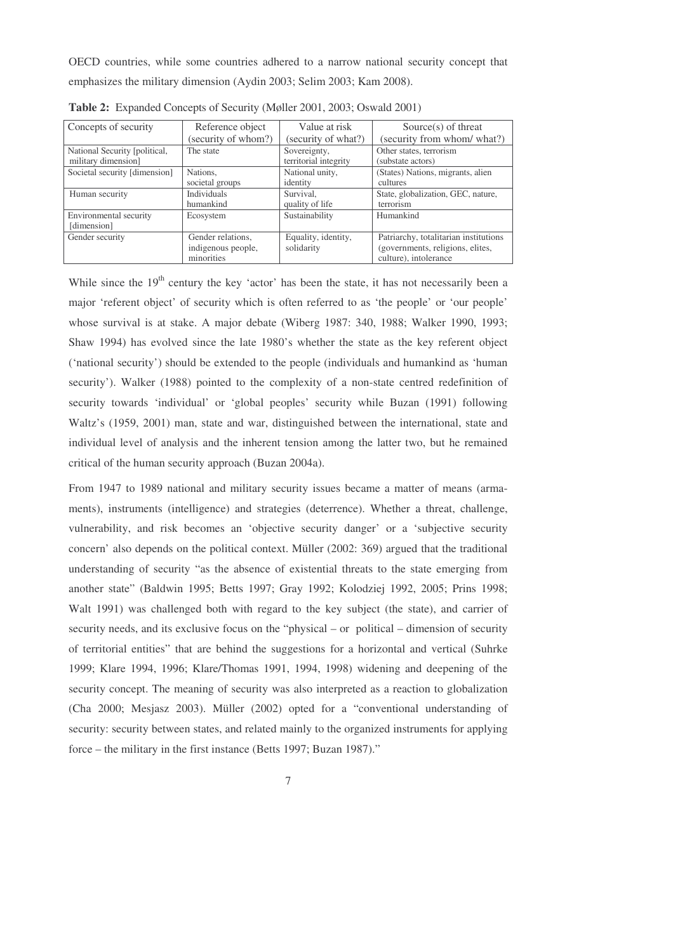OECD countries, while some countries adhered to a narrow national security concept that emphasizes the military dimension (Aydin 2003; Selim 2003; Kam 2008).

| Concepts of security                                 | Reference object                                      | Value at risk                         | Source $(s)$ of threat                                                                             |
|------------------------------------------------------|-------------------------------------------------------|---------------------------------------|----------------------------------------------------------------------------------------------------|
|                                                      | (security of whom?)                                   | (security of what?)                   | (security from whom/ what?)                                                                        |
| National Security [political,<br>military dimension] | The state                                             | Sovereignty,<br>territorial integrity | Other states, terrorism<br>(substate actors)                                                       |
| Societal security [dimension]                        | Nations.                                              | National unity,                       | (States) Nations, migrants, alien                                                                  |
|                                                      | societal groups                                       | identity                              | cultures                                                                                           |
| Human security                                       | <b>Individuals</b>                                    | Survival.                             | State, globalization, GEC, nature,                                                                 |
|                                                      | humankind                                             | quality of life                       | terrorism                                                                                          |
| Environmental security<br>[dimension]                | Ecosystem                                             | Sustainability                        | Humankind                                                                                          |
| Gender security                                      | Gender relations.<br>indigenous people,<br>minorities | Equality, identity,<br>solidarity     | Patriarchy, totalitarian institutions<br>(governments, religions, elites,<br>culture), intolerance |

**Table 2:** Expanded Concepts of Security (Møller 2001, 2003; Oswald 2001)

While since the  $19<sup>th</sup>$  century the key 'actor' has been the state, it has not necessarily been a major 'referent object' of security which is often referred to as 'the people' or 'our people' whose survival is at stake. A major debate (Wiberg 1987: 340, 1988; Walker 1990, 1993; Shaw 1994) has evolved since the late 1980's whether the state as the key referent object ('national security') should be extended to the people (individuals and humankind as 'human security'). Walker (1988) pointed to the complexity of a non-state centred redefinition of security towards 'individual' or 'global peoples' security while Buzan (1991) following Waltz's (1959, 2001) man, state and war, distinguished between the international, state and individual level of analysis and the inherent tension among the latter two, but he remained critical of the human security approach (Buzan 2004a).

From 1947 to 1989 national and military security issues became a matter of means (armaments), instruments (intelligence) and strategies (deterrence). Whether a threat, challenge, vulnerability, and risk becomes an 'objective security danger' or a 'subjective security concern' also depends on the political context. Müller (2002: 369) argued that the traditional understanding of security "as the absence of existential threats to the state emerging from another state" (Baldwin 1995; Betts 1997; Gray 1992; Kolodziej 1992, 2005; Prins 1998; Walt 1991) was challenged both with regard to the key subject (the state), and carrier of security needs, and its exclusive focus on the "physical – or political – dimension of security of territorial entities" that are behind the suggestions for a horizontal and vertical (Suhrke 1999; Klare 1994, 1996; Klare/Thomas 1991, 1994, 1998) widening and deepening of the security concept. The meaning of security was also interpreted as a reaction to globalization (Cha 2000; Mesjasz 2003). Müller (2002) opted for a "conventional understanding of security: security between states, and related mainly to the organized instruments for applying force – the military in the first instance (Betts 1997; Buzan 1987)."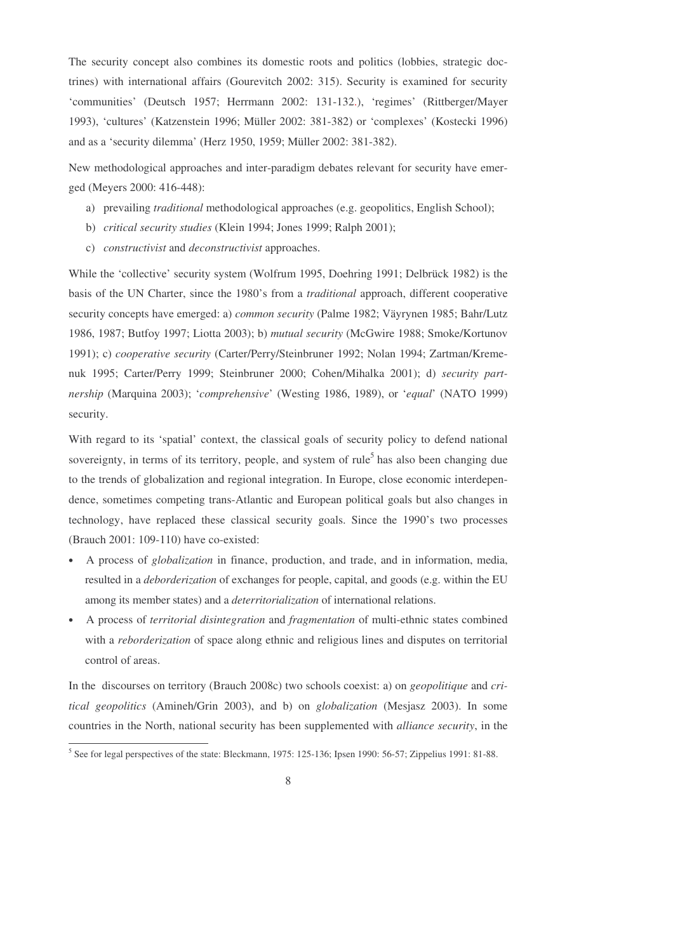The security concept also combines its domestic roots and politics (lobbies, strategic doctrines) with international affairs (Gourevitch 2002: 315). Security is examined for security 'communities' (Deutsch 1957; Herrmann 2002: 131-132.), 'regimes' (Rittberger/Mayer 1993), 'cultures' (Katzenstein 1996; Müller 2002: 381-382) or 'complexes' (Kostecki 1996) and as a 'security dilemma' (Herz 1950, 1959; Müller 2002: 381-382).

New methodological approaches and inter-paradigm debates relevant for security have emerged (Meyers 2000: 416-448):

- a) prevailing *traditional* methodological approaches (e.g. geopolitics, English School);
- b) *critical security studies* (Klein 1994; Jones 1999; Ralph 2001);
- c) *constructivist* and *deconstructivist* approaches.

While the 'collective' security system (Wolfrum 1995, Doehring 1991; Delbrück 1982) is the basis of the UN Charter, since the 1980's from a *traditional* approach, different cooperative security concepts have emerged: a) *common security* (Palme 1982; Väyrynen 1985; Bahr/Lutz 1986, 1987; Butfoy 1997; Liotta 2003); b) *mutual security* (McGwire 1988; Smoke/Kortunov 1991); c) *cooperative security* (Carter/Perry/Steinbruner 1992; Nolan 1994; Zartman/Kremenuk 1995; Carter/Perry 1999; Steinbruner 2000; Cohen/Mihalka 2001); d) *security partnership* (Marquina 2003); '*comprehensive*' (Westing 1986, 1989), or '*equal*' (NATO 1999) security.

With regard to its 'spatial' context, the classical goals of security policy to defend national sovereignty, in terms of its territory, people, and system of rule<sup>5</sup> has also been changing due to the trends of globalization and regional integration. In Europe, close economic interdependence, sometimes competing trans-Atlantic and European political goals but also changes in technology, have replaced these classical security goals. Since the 1990's two processes (Brauch 2001: 109-110) have co-existed:

- A process of *globalization* in finance, production, and trade, and in information, media, resulted in a *deborderization* of exchanges for people, capital, and goods (e.g. within the EU among its member states) and a *deterritorialization* of international relations.
- A process of *territorial disintegration* and *fragmentation* of multi-ethnic states combined with a *reborderization* of space along ethnic and religious lines and disputes on territorial control of areas.

In the discourses on territory (Brauch 2008c) two schools coexist: a) on *geopolitique* and *critical geopolitics* (Amineh/Grin 2003), and b) on *globalization* (Mesjasz 2003). In some countries in the North, national security has been supplemented with *alliance security*, in the

<sup>5</sup> See for legal perspectives of the state: Bleckmann, 1975: 125-136; Ipsen 1990: 56-57; Zippelius 1991: 81-88.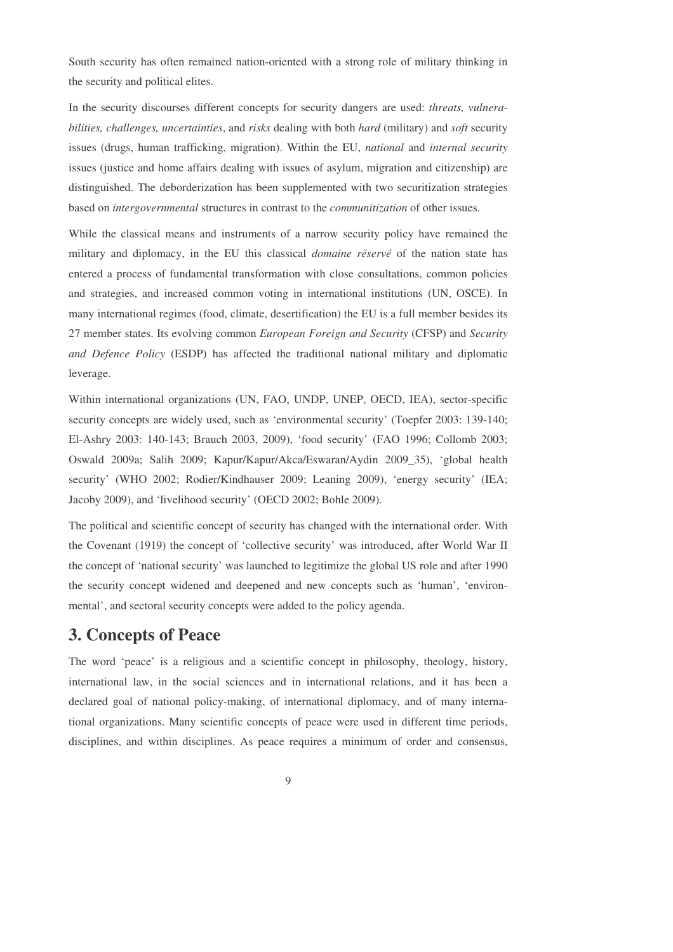South security has often remained nation-oriented with a strong role of military thinking in the security and political elites.

In the security discourses different concepts for security dangers are used: *threats, vulnerabilities, challenges, uncertainties*, and *risks* dealing with both *hard* (military) and *soft* security issues (drugs, human trafficking, migration). Within the EU, *national* and *internal security* issues (justice and home affairs dealing with issues of asylum, migration and citizenship) are distinguished. The deborderization has been supplemented with two securitization strategies based on *intergovernmental* structures in contrast to the *communitization* of other issues.

While the classical means and instruments of a narrow security policy have remained the military and diplomacy, in the EU this classical *domaine réservé* of the nation state has entered a process of fundamental transformation with close consultations, common policies and strategies, and increased common voting in international institutions (UN, OSCE). In many international regimes (food, climate, desertification) the EU is a full member besides its 27 member states. Its evolving common *European Foreign and Security* (CFSP) and *Security and Defence Policy* (ESDP) has affected the traditional national military and diplomatic leverage.

Within international organizations (UN, FAO, UNDP, UNEP, OECD, IEA), sector-specific security concepts are widely used, such as 'environmental security' (Toepfer 2003: 139-140; El-Ashry 2003: 140-143; Brauch 2003, 2009), 'food security' (FAO 1996; Collomb 2003; Oswald 2009a; Salih 2009; Kapur/Kapur/Akca/Eswaran/Aydin 2009\_35), 'global health security' (WHO 2002; Rodier/Kindhauser 2009; Leaning 2009), 'energy security' (IEA; Jacoby 2009), and 'livelihood security' (OECD 2002; Bohle 2009).

The political and scientific concept of security has changed with the international order. With the Covenant (1919) the concept of 'collective security' was introduced, after World War II the concept of 'national security' was launched to legitimize the global US role and after 1990 the security concept widened and deepened and new concepts such as 'human', 'environmental', and sectoral security concepts were added to the policy agenda.

## **3. Concepts of Peace**

The word 'peace' is a religious and a scientific concept in philosophy, theology, history, international law, in the social sciences and in international relations, and it has been a declared goal of national policy-making, of international diplomacy, and of many international organizations. Many scientific concepts of peace were used in different time periods, disciplines, and within disciplines. As peace requires a minimum of order and consensus,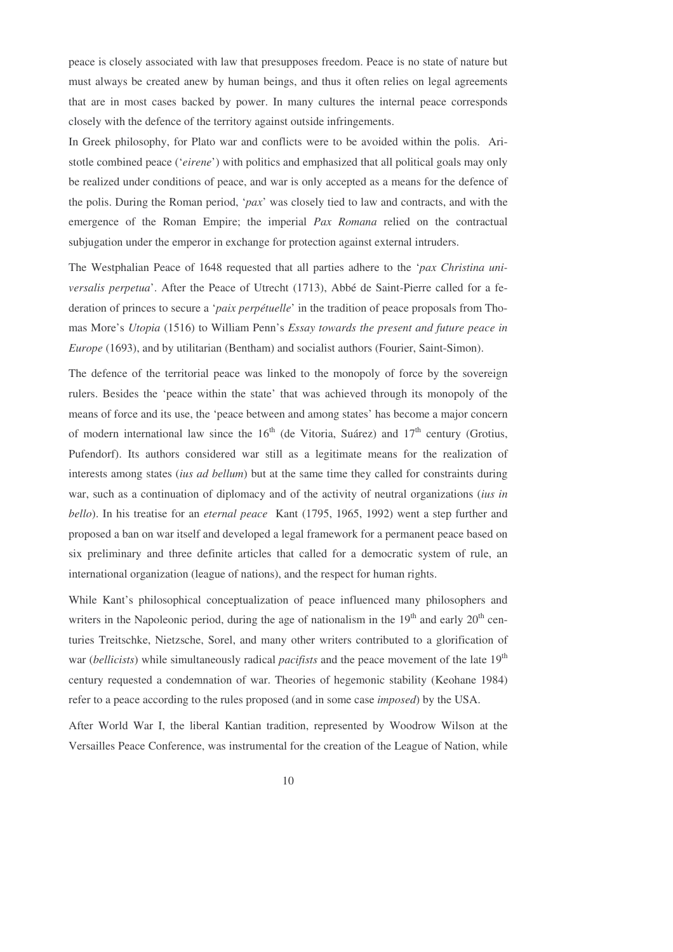peace is closely associated with law that presupposes freedom. Peace is no state of nature but must always be created anew by human beings, and thus it often relies on legal agreements that are in most cases backed by power. In many cultures the internal peace corresponds closely with the defence of the territory against outside infringements.

In Greek philosophy, for Plato war and conflicts were to be avoided within the polis. Aristotle combined peace ('*eirene*') with politics and emphasized that all political goals may only be realized under conditions of peace, and war is only accepted as a means for the defence of the polis. During the Roman period, '*pax*' was closely tied to law and contracts, and with the emergence of the Roman Empire; the imperial *Pax Romana* relied on the contractual subjugation under the emperor in exchange for protection against external intruders.

The Westphalian Peace of 1648 requested that all parties adhere to the '*pax Christina universalis perpetua*'. After the Peace of Utrecht (1713), Abbé de Saint-Pierre called for a federation of princes to secure a '*paix perpétuelle*' in the tradition of peace proposals from Thomas More's *Utopia* (1516) to William Penn's *Essay towards the present and future peace in Europe* (1693), and by utilitarian (Bentham) and socialist authors (Fourier, Saint-Simon).

The defence of the territorial peace was linked to the monopoly of force by the sovereign rulers. Besides the 'peace within the state' that was achieved through its monopoly of the means of force and its use, the 'peace between and among states' has become a major concern of modern international law since the 16<sup>th</sup> (de Vitoria, Suárez) and 17<sup>th</sup> century (Grotius, Pufendorf). Its authors considered war still as a legitimate means for the realization of interests among states (*ius ad bellum*) but at the same time they called for constraints during war, such as a continuation of diplomacy and of the activity of neutral organizations (*ius in bello*). In his treatise for an *eternal peace* Kant (1795, 1965, 1992) went a step further and proposed a ban on war itself and developed a legal framework for a permanent peace based on six preliminary and three definite articles that called for a democratic system of rule, an international organization (league of nations), and the respect for human rights.

While Kant's philosophical conceptualization of peace influenced many philosophers and writers in the Napoleonic period, during the age of nationalism in the  $19<sup>th</sup>$  and early  $20<sup>th</sup>$  centuries Treitschke, Nietzsche, Sorel, and many other writers contributed to a glorification of war (*bellicists*) while simultaneously radical *pacifists* and the peace movement of the late 19<sup>th</sup> century requested a condemnation of war. Theories of hegemonic stability (Keohane 1984) refer to a peace according to the rules proposed (and in some case *imposed*) by the USA.

After World War I, the liberal Kantian tradition, represented by Woodrow Wilson at the Versailles Peace Conference, was instrumental for the creation of the League of Nation, while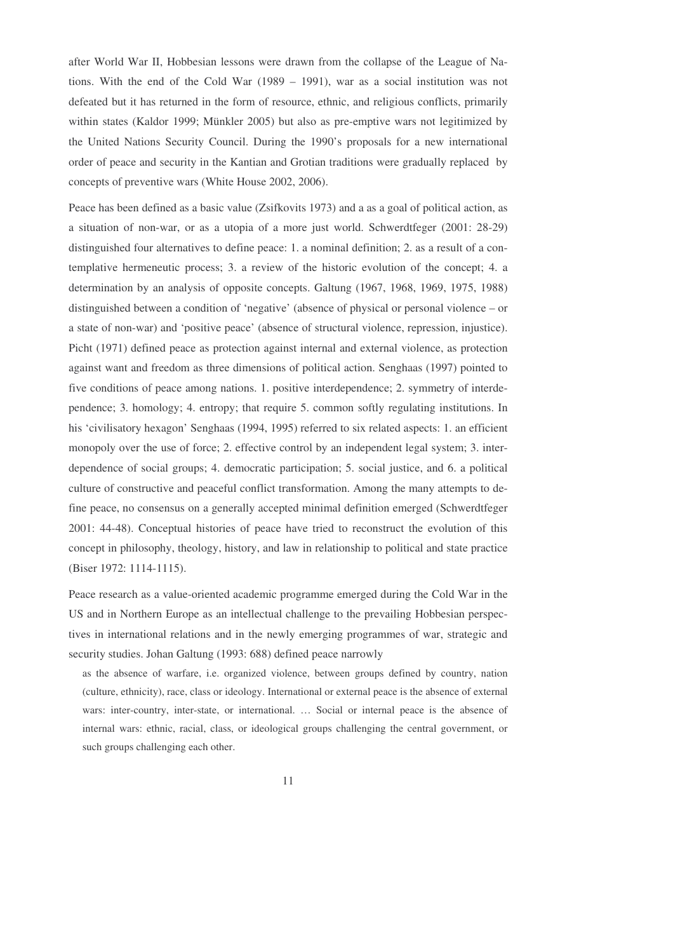after World War II, Hobbesian lessons were drawn from the collapse of the League of Nations. With the end of the Cold War (1989 – 1991), war as a social institution was not defeated but it has returned in the form of resource, ethnic, and religious conflicts, primarily within states (Kaldor 1999; Münkler 2005) but also as pre-emptive wars not legitimized by the United Nations Security Council. During the 1990's proposals for a new international order of peace and security in the Kantian and Grotian traditions were gradually replaced by concepts of preventive wars (White House 2002, 2006).

Peace has been defined as a basic value (Zsifkovits 1973) and a as a goal of political action, as a situation of non-war, or as a utopia of a more just world. Schwerdtfeger (2001: 28-29) distinguished four alternatives to define peace: 1. a nominal definition; 2. as a result of a contemplative hermeneutic process; 3. a review of the historic evolution of the concept; 4. a determination by an analysis of opposite concepts. Galtung (1967, 1968, 1969, 1975, 1988) distinguished between a condition of 'negative' (absence of physical or personal violence – or a state of non-war) and 'positive peace' (absence of structural violence, repression, injustice). Picht (1971) defined peace as protection against internal and external violence, as protection against want and freedom as three dimensions of political action. Senghaas (1997) pointed to five conditions of peace among nations. 1. positive interdependence; 2. symmetry of interdependence; 3. homology; 4. entropy; that require 5. common softly regulating institutions. In his 'civilisatory hexagon' Senghaas (1994, 1995) referred to six related aspects: 1. an efficient monopoly over the use of force; 2. effective control by an independent legal system; 3. interdependence of social groups; 4. democratic participation; 5. social justice, and 6. a political culture of constructive and peaceful conflict transformation. Among the many attempts to define peace, no consensus on a generally accepted minimal definition emerged (Schwerdtfeger 2001: 44-48). Conceptual histories of peace have tried to reconstruct the evolution of this concept in philosophy, theology, history, and law in relationship to political and state practice (Biser 1972: 1114-1115).

Peace research as a value-oriented academic programme emerged during the Cold War in the US and in Northern Europe as an intellectual challenge to the prevailing Hobbesian perspectives in international relations and in the newly emerging programmes of war, strategic and security studies. Johan Galtung (1993: 688) defined peace narrowly

as the absence of warfare, i.e. organized violence, between groups defined by country, nation (culture, ethnicity), race, class or ideology. International or external peace is the absence of external wars: inter-country, inter-state, or international. … Social or internal peace is the absence of internal wars: ethnic, racial, class, or ideological groups challenging the central government, or such groups challenging each other.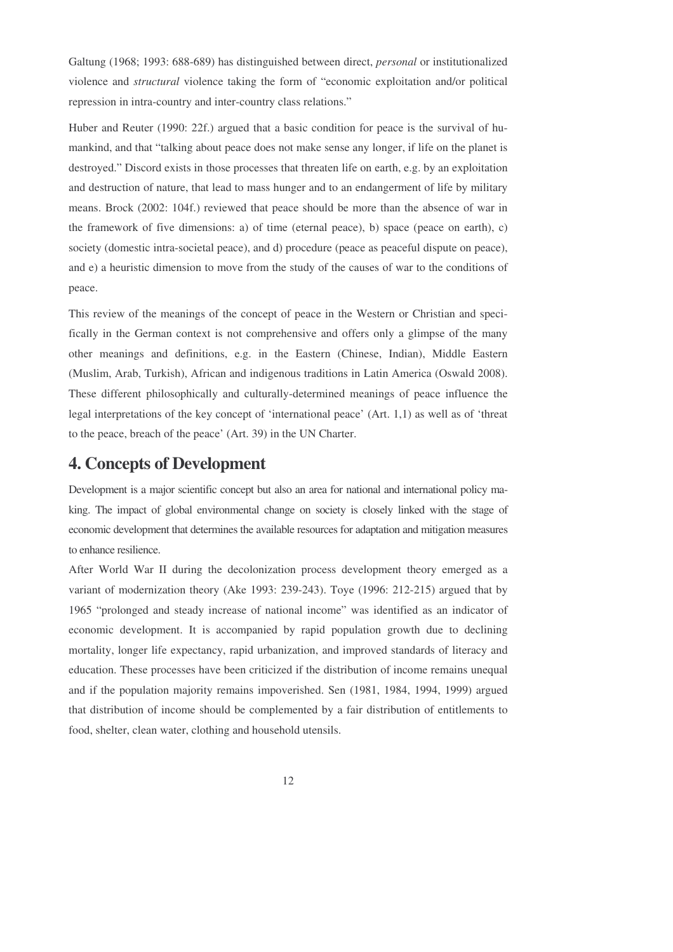Galtung (1968; 1993: 688-689) has distinguished between direct, *personal* or institutionalized violence and *structural* violence taking the form of "economic exploitation and/or political repression in intra-country and inter-country class relations."

Huber and Reuter (1990: 22f.) argued that a basic condition for peace is the survival of humankind, and that "talking about peace does not make sense any longer, if life on the planet is destroyed." Discord exists in those processes that threaten life on earth, e.g. by an exploitation and destruction of nature, that lead to mass hunger and to an endangerment of life by military means. Brock (2002: 104f.) reviewed that peace should be more than the absence of war in the framework of five dimensions: a) of time (eternal peace), b) space (peace on earth), c) society (domestic intra-societal peace), and d) procedure (peace as peaceful dispute on peace), and e) a heuristic dimension to move from the study of the causes of war to the conditions of peace.

This review of the meanings of the concept of peace in the Western or Christian and specifically in the German context is not comprehensive and offers only a glimpse of the many other meanings and definitions, e.g. in the Eastern (Chinese, Indian), Middle Eastern (Muslim, Arab, Turkish), African and indigenous traditions in Latin America (Oswald 2008). These different philosophically and culturally-determined meanings of peace influence the legal interpretations of the key concept of 'international peace' (Art. 1,1) as well as of 'threat to the peace, breach of the peace' (Art. 39) in the UN Charter.

#### **4. Concepts of Development**

Development is a major scientific concept but also an area for national and international policy making. The impact of global environmental change on society is closely linked with the stage of economic development that determines the available resources for adaptation and mitigation measures to enhance resilience.

After World War II during the decolonization process development theory emerged as a variant of modernization theory (Ake 1993: 239-243). Toye (1996: 212-215) argued that by 1965 "prolonged and steady increase of national income" was identified as an indicator of economic development. It is accompanied by rapid population growth due to declining mortality, longer life expectancy, rapid urbanization, and improved standards of literacy and education. These processes have been criticized if the distribution of income remains unequal and if the population majority remains impoverished. Sen (1981, 1984, 1994, 1999) argued that distribution of income should be complemented by a fair distribution of entitlements to food, shelter, clean water, clothing and household utensils.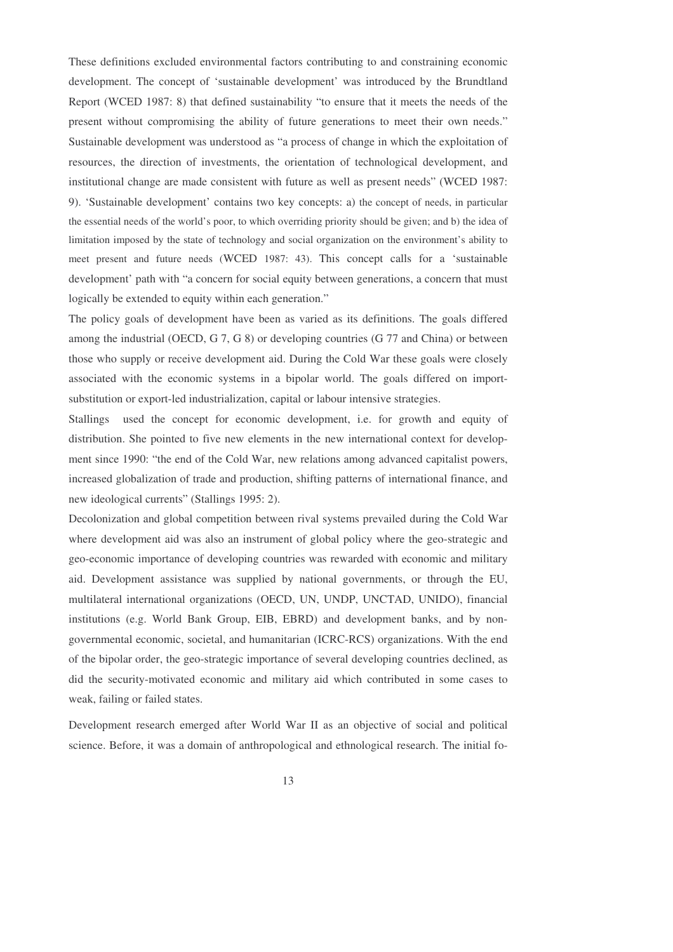These definitions excluded environmental factors contributing to and constraining economic development. The concept of 'sustainable development' was introduced by the Brundtland Report (WCED 1987: 8) that defined sustainability "to ensure that it meets the needs of the present without compromising the ability of future generations to meet their own needs." Sustainable development was understood as "a process of change in which the exploitation of resources, the direction of investments, the orientation of technological development, and institutional change are made consistent with future as well as present needs" (WCED 1987: 9). 'Sustainable development' contains two key concepts: a) the concept of needs, in particular the essential needs of the world's poor, to which overriding priority should be given; and b) the idea of limitation imposed by the state of technology and social organization on the environment's ability to meet present and future needs (WCED 1987: 43). This concept calls for a 'sustainable development' path with "a concern for social equity between generations, a concern that must logically be extended to equity within each generation."

The policy goals of development have been as varied as its definitions. The goals differed among the industrial (OECD, G 7, G 8) or developing countries (G 77 and China) or between those who supply or receive development aid. During the Cold War these goals were closely associated with the economic systems in a bipolar world. The goals differed on importsubstitution or export-led industrialization, capital or labour intensive strategies.

Stallings used the concept for economic development, i.e. for growth and equity of distribution. She pointed to five new elements in the new international context for development since 1990: "the end of the Cold War, new relations among advanced capitalist powers, increased globalization of trade and production, shifting patterns of international finance, and new ideological currents" (Stallings 1995: 2).

Decolonization and global competition between rival systems prevailed during the Cold War where development aid was also an instrument of global policy where the geo-strategic and geo-economic importance of developing countries was rewarded with economic and military aid. Development assistance was supplied by national governments, or through the EU, multilateral international organizations (OECD, UN, UNDP, UNCTAD, UNIDO), financial institutions (e.g. World Bank Group, EIB, EBRD) and development banks, and by nongovernmental economic, societal, and humanitarian (ICRC-RCS) organizations. With the end of the bipolar order, the geo-strategic importance of several developing countries declined, as did the security-motivated economic and military aid which contributed in some cases to weak, failing or failed states.

Development research emerged after World War II as an objective of social and political science. Before, it was a domain of anthropological and ethnological research. The initial fo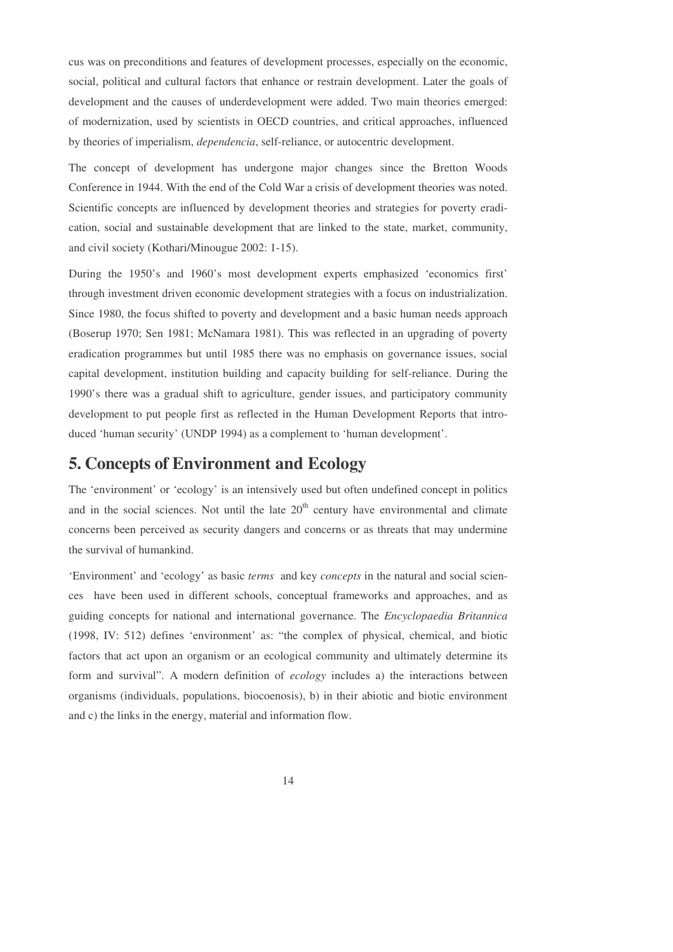cus was on preconditions and features of development processes, especially on the economic, social, political and cultural factors that enhance or restrain development. Later the goals of development and the causes of underdevelopment were added. Two main theories emerged: of modernization, used by scientists in OECD countries, and critical approaches, influenced by theories of imperialism, *dependencia*, self-reliance, or autocentric development.

The concept of development has undergone major changes since the Bretton Woods Conference in 1944. With the end of the Cold War a crisis of development theories was noted. Scientific concepts are influenced by development theories and strategies for poverty eradication, social and sustainable development that are linked to the state, market, community, and civil society (Kothari/Minougue 2002: 1-15).

During the 1950's and 1960's most development experts emphasized 'economics first' through investment driven economic development strategies with a focus on industrialization. Since 1980, the focus shifted to poverty and development and a basic human needs approach (Boserup 1970; Sen 1981; McNamara 1981). This was reflected in an upgrading of poverty eradication programmes but until 1985 there was no emphasis on governance issues, social capital development, institution building and capacity building for self-reliance. During the 1990's there was a gradual shift to agriculture, gender issues, and participatory community development to put people first as reflected in the Human Development Reports that introduced 'human security' (UNDP 1994) as a complement to 'human development'.

### **5. Concepts of Environment and Ecology**

The 'environment' or 'ecology' is an intensively used but often undefined concept in politics and in the social sciences. Not until the late  $20<sup>th</sup>$  century have environmental and climate concerns been perceived as security dangers and concerns or as threats that may undermine the survival of humankind.

'Environment' and 'ecology' as basic *terms* and key *concepts* in the natural and social sciences have been used in different schools, conceptual frameworks and approaches, and as guiding concepts for national and international governance. The *Encyclopaedia Britannica* (1998, IV: 512) defines 'environment' as: "the complex of physical, chemical, and biotic factors that act upon an organism or an ecological community and ultimately determine its form and survival". A modern definition of *ecology* includes a) the interactions between organisms (individuals, populations, biocoenosis), b) in their abiotic and biotic environment and c) the links in the energy, material and information flow.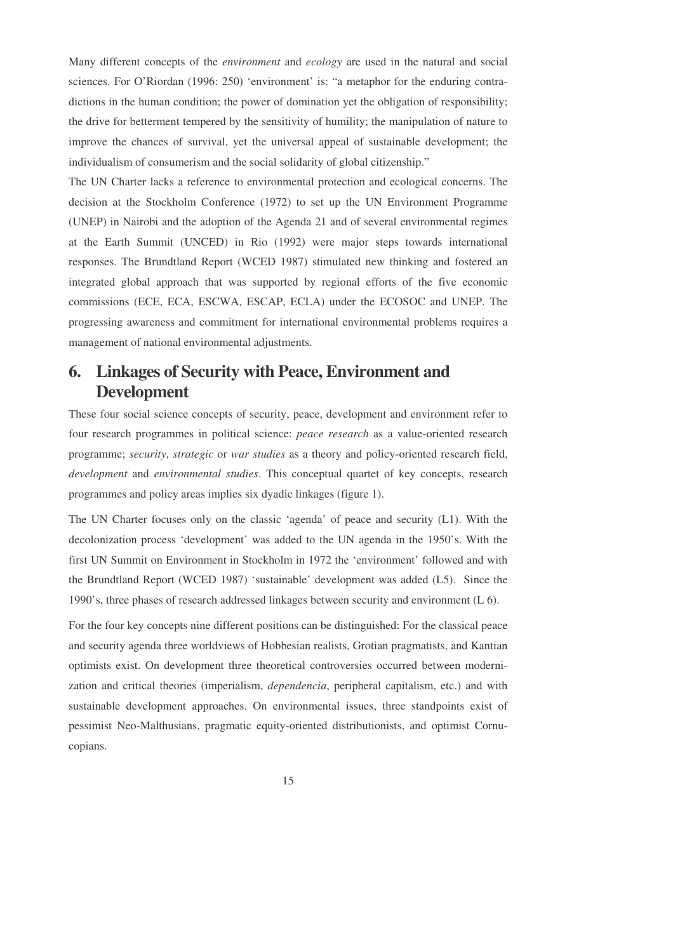Many different concepts of the *environment* and *ecology* are used in the natural and social sciences. For O'Riordan (1996: 250) 'environment' is: "a metaphor for the enduring contradictions in the human condition; the power of domination yet the obligation of responsibility; the drive for betterment tempered by the sensitivity of humility; the manipulation of nature to improve the chances of survival, yet the universal appeal of sustainable development; the individualism of consumerism and the social solidarity of global citizenship."

The UN Charter lacks a reference to environmental protection and ecological concerns. The decision at the Stockholm Conference (1972) to set up the UN Environment Programme (UNEP) in Nairobi and the adoption of the Agenda 21 and of several environmental regimes at the Earth Summit (UNCED) in Rio (1992) were major steps towards international responses. The Brundtland Report (WCED 1987) stimulated new thinking and fostered an integrated global approach that was supported by regional efforts of the five economic commissions (ECE, ECA, ESCWA, ESCAP, ECLA) under the ECOSOC and UNEP. The progressing awareness and commitment for international environmental problems requires a management of national environmental adjustments.

# **6. Linkages of Security with Peace, Environment and Development**

These four social science concepts of security, peace, development and environment refer to four research programmes in political science: *peace research* as a value-oriented research programme; *security*, *strategic* or *war studies* as a theory and policy-oriented research field, *development* and *environmental studies*. This conceptual quartet of key concepts, research programmes and policy areas implies six dyadic linkages (figure 1).

The UN Charter focuses only on the classic 'agenda' of peace and security (L1). With the decolonization process 'development' was added to the UN agenda in the 1950's. With the first UN Summit on Environment in Stockholm in 1972 the 'environment' followed and with the Brundtland Report (WCED 1987) 'sustainable' development was added (L5). Since the 1990's, three phases of research addressed linkages between security and environment (L 6).

For the four key concepts nine different positions can be distinguished: For the classical peace and security agenda three worldviews of Hobbesian realists, Grotian pragmatists, and Kantian optimists exist. On development three theoretical controversies occurred between modernization and critical theories (imperialism, *dependencia*, peripheral capitalism, etc.) and with sustainable development approaches. On environmental issues, three standpoints exist of pessimist Neo-Malthusians, pragmatic equity-oriented distributionists, and optimist Cornucopians.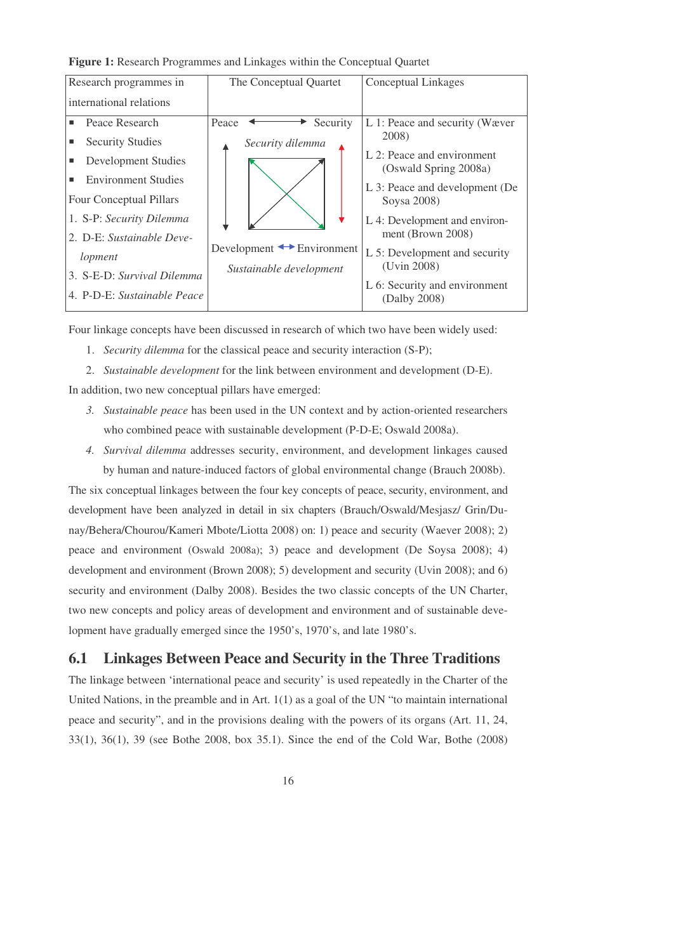**Figure 1:** Research Programmes and Linkages within the Conceptual Quartet

| Research programmes in          | The Conceptual Quartet                    | Conceptual Linkages                                 |
|---------------------------------|-------------------------------------------|-----------------------------------------------------|
| international relations         |                                           |                                                     |
| Peace Research<br>٠             | Security<br>Peace                         | L 1: Peace and security (Wæver                      |
| <b>Security Studies</b><br>ш    | Security dilemma                          | 2008)                                               |
| <b>Development Studies</b><br>■ |                                           | L 2: Peace and environment<br>(Oswald Spring 2008a) |
| <b>Environment Studies</b><br>п |                                           | L 3: Peace and development (De                      |
| <b>Four Conceptual Pillars</b>  |                                           | Soysa 2008)                                         |
| 1. S-P: Security Dilemma        |                                           | L 4: Development and environ-                       |
| 2. D-E: Sustainable Deve-       |                                           | ment (Brown 2008)                                   |
| lopment                         | Development $\leftrightarrow$ Environment | L 5: Development and security                       |
| 3. S-E-D: Survival Dilemma      | Sustainable development                   | (Uvin 2008)                                         |
| 4. P-D-E: Sustainable Peace     |                                           | L 6: Security and environment<br>(Dalby 2008)       |

Four linkage concepts have been discussed in research of which two have been widely used:

- 1. *Security dilemma* for the classical peace and security interaction (S-P);
- 2. *Sustainable development* for the link between environment and development (D-E).

In addition, two new conceptual pillars have emerged:

- *3. Sustainable peace* has been used in the UN context and by action-oriented researchers who combined peace with sustainable development (P-D-E; Oswald 2008a).
- *4. Survival dilemma* addresses security, environment, and development linkages caused by human and nature-induced factors of global environmental change (Brauch 2008b).

The six conceptual linkages between the four key concepts of peace, security, environment, and development have been analyzed in detail in six chapters (Brauch/Oswald/Mesjasz/ Grin/Dunay/Behera/Chourou/Kameri Mbote/Liotta 2008) on: 1) peace and security (Waever 2008); 2) peace and environment (Oswald 2008a); 3) peace and development (De Soysa 2008); 4) development and environment (Brown 2008); 5) development and security (Uvin 2008); and 6) security and environment (Dalby 2008). Besides the two classic concepts of the UN Charter, two new concepts and policy areas of development and environment and of sustainable development have gradually emerged since the 1950's, 1970's, and late 1980's.

#### **6.1 Linkages Between Peace and Security in the Three Traditions**

The linkage between 'international peace and security' is used repeatedly in the Charter of the United Nations, in the preamble and in Art.  $1(1)$  as a goal of the UN "to maintain international peace and security", and in the provisions dealing with the powers of its organs (Art. 11, 24, 33(1), 36(1), 39 (see Bothe 2008, box 35.1). Since the end of the Cold War, Bothe (2008)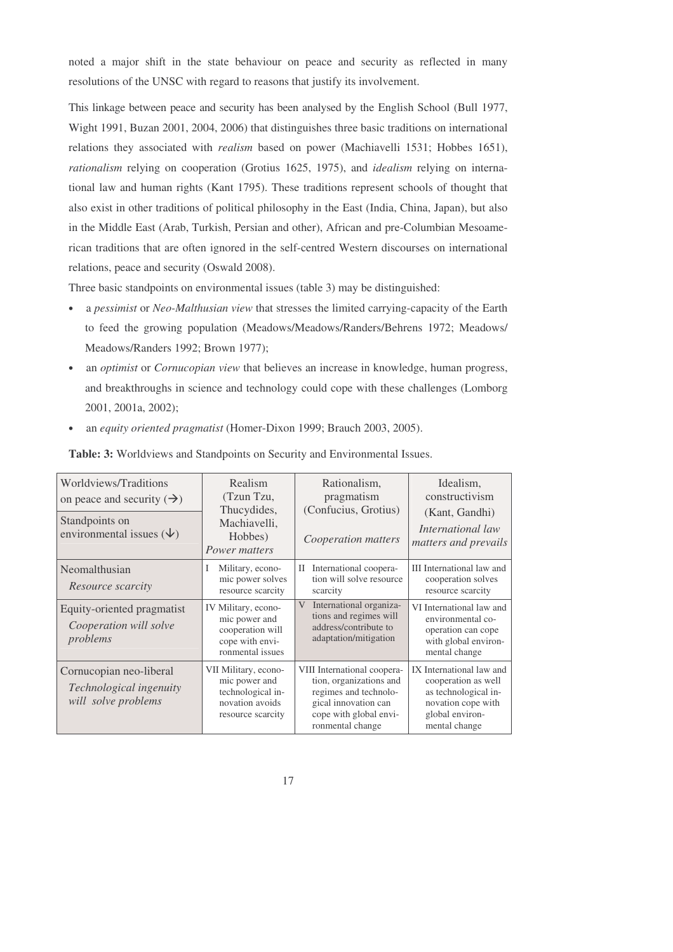noted a major shift in the state behaviour on peace and security as reflected in many resolutions of the UNSC with regard to reasons that justify its involvement.

This linkage between peace and security has been analysed by the English School (Bull 1977, Wight 1991, Buzan 2001, 2004, 2006) that distinguishes three basic traditions on international relations they associated with *realism* based on power (Machiavelli 1531; Hobbes 1651), *rationalism* relying on cooperation (Grotius 1625, 1975), and *idealism* relying on international law and human rights (Kant 1795). These traditions represent schools of thought that also exist in other traditions of political philosophy in the East (India, China, Japan), but also in the Middle East (Arab, Turkish, Persian and other), African and pre-Columbian Mesoamerican traditions that are often ignored in the self-centred Western discourses on international relations, peace and security (Oswald 2008).

Three basic standpoints on environmental issues (table 3) may be distinguished:

- a *pessimist* or *Neo-Malthusian view* that stresses the limited carrying-capacity of the Earth to feed the growing population (Meadows/Meadows/Randers/Behrens 1972; Meadows/ Meadows/Randers 1992; Brown 1977);
- an *optimist* or *Cornucopian view* that believes an increase in knowledge, human progress, and breakthroughs in science and technology could cope with these challenges (Lomborg 2001, 2001a, 2002);
- an *equity oriented pragmatist* (Homer-Dixon 1999; Brauch 2003, 2005).

| Worldviews/Traditions<br>on peace and security $(\rightarrow)$                   | Realism<br>(Tzun Tzu,<br>Thucydides,                                                               | Rationalism.<br>pragmatism<br>(Confucius, Grotius)                                                                                                    | Idealism,<br>constructivism<br>(Kant, Gandhi)<br>International law<br>matters and prevails                                        |
|----------------------------------------------------------------------------------|----------------------------------------------------------------------------------------------------|-------------------------------------------------------------------------------------------------------------------------------------------------------|-----------------------------------------------------------------------------------------------------------------------------------|
| Standpoints on<br>environmental issues $(\downarrow)$                            | Machiavelli,<br>Hobbes)<br>Power matters                                                           | Cooperation matters                                                                                                                                   |                                                                                                                                   |
| Neomalthusian<br>Resource scarcity                                               | Military, econo-<br>Ι<br>mic power solves<br>resource scarcity                                     | II International coopera-<br>tion will solve resource<br>scarcity                                                                                     | III International law and<br>cooperation solves<br>resource scarcity                                                              |
| Equity-oriented pragmatist<br>Cooperation will solve<br>problems                 | IV Military, econo-<br>mic power and<br>cooperation will<br>cope with envi-<br>ronmental issues    | International organiza-<br>tions and regimes will<br>address/contribute to<br>adaptation/mitigation                                                   | VI International law and<br>environmental co-<br>operation can cope<br>with global environ-<br>mental change                      |
| Cornucopian neo-liberal<br><i>Technological ingenuity</i><br>will solve problems | VII Military, econo-<br>mic power and<br>technological in-<br>novation avoids<br>resource scarcity | VIII International coopera-<br>tion, organizations and<br>regimes and technolo-<br>gical innovation can<br>cope with global envi-<br>ronmental change | IX International law and<br>cooperation as well<br>as technological in-<br>novation cope with<br>global environ-<br>mental change |

**Table: 3:** Worldviews and Standpoints on Security and Environmental Issues.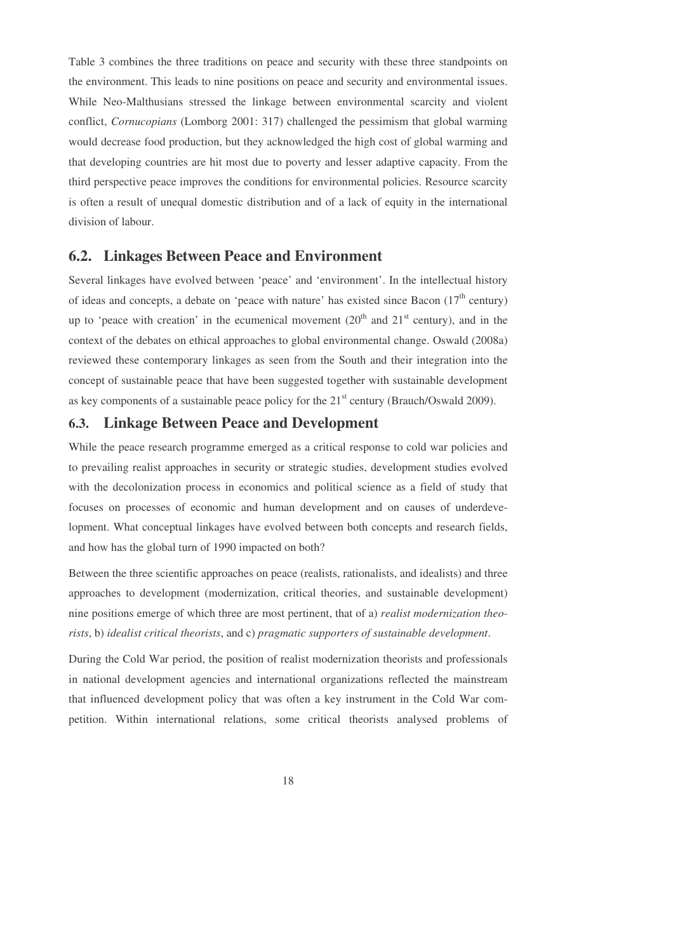Table 3 combines the three traditions on peace and security with these three standpoints on the environment. This leads to nine positions on peace and security and environmental issues. While Neo-Malthusians stressed the linkage between environmental scarcity and violent conflict, *Cornucopians* (Lomborg 2001: 317) challenged the pessimism that global warming would decrease food production, but they acknowledged the high cost of global warming and that developing countries are hit most due to poverty and lesser adaptive capacity. From the third perspective peace improves the conditions for environmental policies. Resource scarcity is often a result of unequal domestic distribution and of a lack of equity in the international division of labour.

#### **6.2. Linkages Between Peace and Environment**

Several linkages have evolved between 'peace' and 'environment'. In the intellectual history of ideas and concepts, a debate on 'peace with nature' has existed since Bacon  $(17<sup>th</sup>$  century) up to 'peace with creation' in the ecumenical movement  $(20<sup>th</sup>$  and  $21<sup>st</sup>$  century), and in the context of the debates on ethical approaches to global environmental change. Oswald (2008a) reviewed these contemporary linkages as seen from the South and their integration into the concept of sustainable peace that have been suggested together with sustainable development as key components of a sustainable peace policy for the  $21<sup>st</sup>$  century (Brauch/Oswald 2009).

#### **6.3. Linkage Between Peace and Development**

While the peace research programme emerged as a critical response to cold war policies and to prevailing realist approaches in security or strategic studies, development studies evolved with the decolonization process in economics and political science as a field of study that focuses on processes of economic and human development and on causes of underdevelopment. What conceptual linkages have evolved between both concepts and research fields, and how has the global turn of 1990 impacted on both?

Between the three scientific approaches on peace (realists, rationalists, and idealists) and three approaches to development (modernization, critical theories, and sustainable development) nine positions emerge of which three are most pertinent, that of a) *realist modernization theorists*, b) *idealist critical theorists*, and c) *pragmatic supporters of sustainable development*.

During the Cold War period, the position of realist modernization theorists and professionals in national development agencies and international organizations reflected the mainstream that influenced development policy that was often a key instrument in the Cold War competition. Within international relations, some critical theorists analysed problems of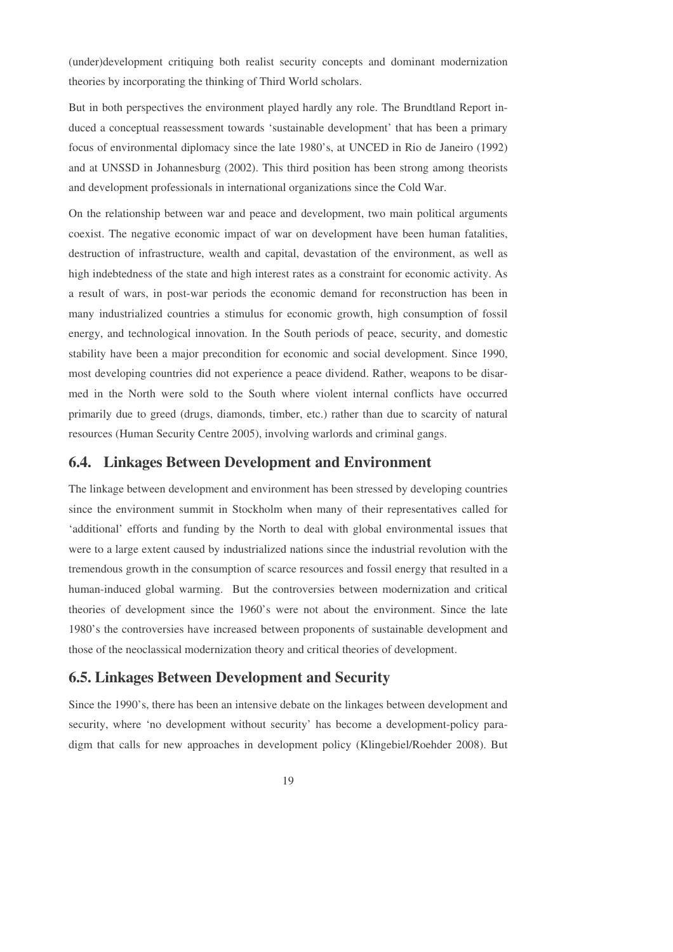(under)development critiquing both realist security concepts and dominant modernization theories by incorporating the thinking of Third World scholars.

But in both perspectives the environment played hardly any role. The Brundtland Report induced a conceptual reassessment towards 'sustainable development' that has been a primary focus of environmental diplomacy since the late 1980's, at UNCED in Rio de Janeiro (1992) and at UNSSD in Johannesburg (2002). This third position has been strong among theorists and development professionals in international organizations since the Cold War.

On the relationship between war and peace and development, two main political arguments coexist. The negative economic impact of war on development have been human fatalities, destruction of infrastructure, wealth and capital, devastation of the environment, as well as high indebtedness of the state and high interest rates as a constraint for economic activity. As a result of wars, in post-war periods the economic demand for reconstruction has been in many industrialized countries a stimulus for economic growth, high consumption of fossil energy, and technological innovation. In the South periods of peace, security, and domestic stability have been a major precondition for economic and social development. Since 1990, most developing countries did not experience a peace dividend. Rather, weapons to be disarmed in the North were sold to the South where violent internal conflicts have occurred primarily due to greed (drugs, diamonds, timber, etc.) rather than due to scarcity of natural resources (Human Security Centre 2005), involving warlords and criminal gangs.

#### **6.4. Linkages Between Development and Environment**

The linkage between development and environment has been stressed by developing countries since the environment summit in Stockholm when many of their representatives called for 'additional' efforts and funding by the North to deal with global environmental issues that were to a large extent caused by industrialized nations since the industrial revolution with the tremendous growth in the consumption of scarce resources and fossil energy that resulted in a human-induced global warming. But the controversies between modernization and critical theories of development since the 1960's were not about the environment. Since the late 1980's the controversies have increased between proponents of sustainable development and those of the neoclassical modernization theory and critical theories of development.

### **6.5. Linkages Between Development and Security**

Since the 1990's, there has been an intensive debate on the linkages between development and security, where 'no development without security' has become a development-policy paradigm that calls for new approaches in development policy (Klingebiel/Roehder 2008). But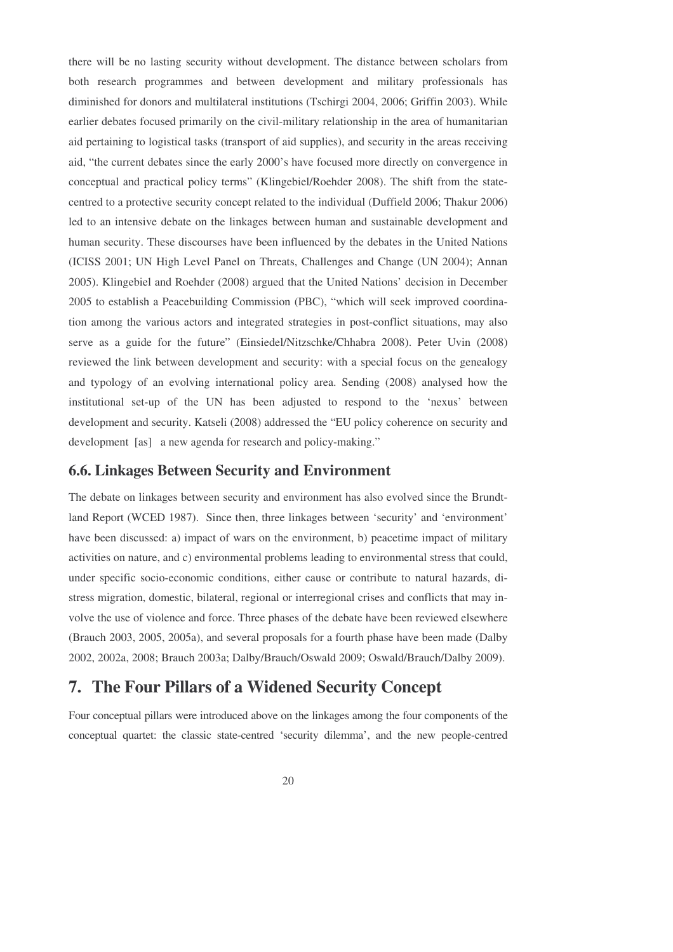there will be no lasting security without development. The distance between scholars from both research programmes and between development and military professionals has diminished for donors and multilateral institutions (Tschirgi 2004, 2006; Griffin 2003). While earlier debates focused primarily on the civil-military relationship in the area of humanitarian aid pertaining to logistical tasks (transport of aid supplies), and security in the areas receiving aid, "the current debates since the early 2000's have focused more directly on convergence in conceptual and practical policy terms" (Klingebiel/Roehder 2008). The shift from the statecentred to a protective security concept related to the individual (Duffield 2006; Thakur 2006) led to an intensive debate on the linkages between human and sustainable development and human security. These discourses have been influenced by the debates in the United Nations (ICISS 2001; UN High Level Panel on Threats, Challenges and Change (UN 2004); Annan 2005). Klingebiel and Roehder (2008) argued that the United Nations' decision in December 2005 to establish a Peacebuilding Commission (PBC), "which will seek improved coordination among the various actors and integrated strategies in post-conflict situations, may also serve as a guide for the future" (Einsiedel/Nitzschke/Chhabra 2008). Peter Uvin (2008) reviewed the link between development and security: with a special focus on the genealogy and typology of an evolving international policy area. Sending (2008) analysed how the institutional set-up of the UN has been adjusted to respond to the 'nexus' between development and security. Katseli (2008) addressed the "EU policy coherence on security and development [as] a new agenda for research and policy-making."

#### **6.6. Linkages Between Security and Environment**

The debate on linkages between security and environment has also evolved since the Brundtland Report (WCED 1987). Since then, three linkages between 'security' and 'environment' have been discussed: a) impact of wars on the environment, b) peacetime impact of military activities on nature, and c) environmental problems leading to environmental stress that could, under specific socio-economic conditions, either cause or contribute to natural hazards, distress migration, domestic, bilateral, regional or interregional crises and conflicts that may involve the use of violence and force. Three phases of the debate have been reviewed elsewhere (Brauch 2003, 2005, 2005a), and several proposals for a fourth phase have been made (Dalby 2002, 2002a, 2008; Brauch 2003a; Dalby/Brauch/Oswald 2009; Oswald/Brauch/Dalby 2009).

## **7. The Four Pillars of a Widened Security Concept**

Four conceptual pillars were introduced above on the linkages among the four components of the conceptual quartet: the classic state-centred 'security dilemma', and the new people-centred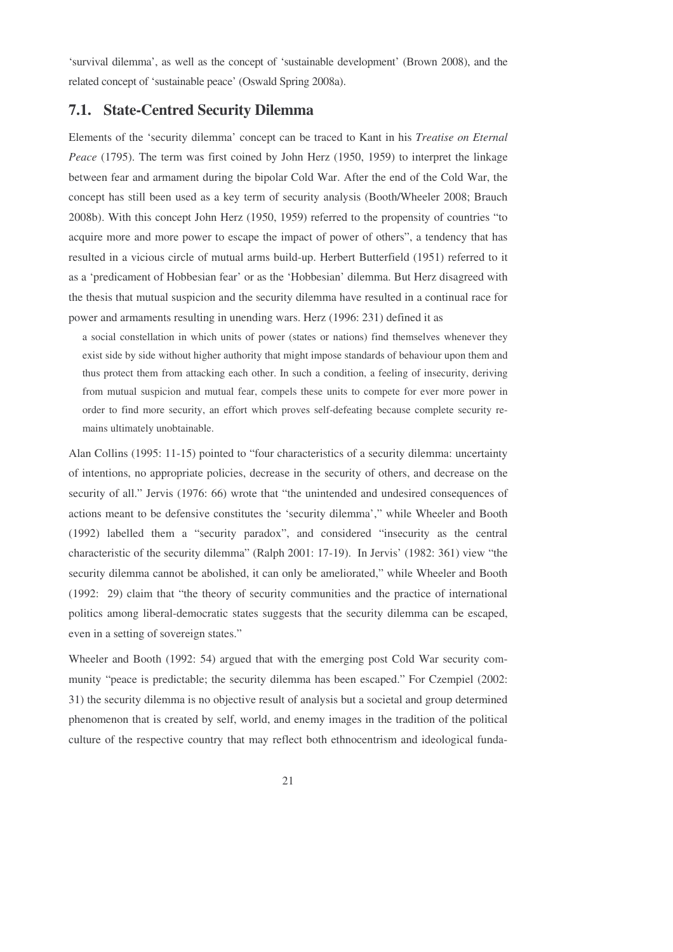'survival dilemma', as well as the concept of 'sustainable development' (Brown 2008), and the related concept of 'sustainable peace' (Oswald Spring 2008a).

#### **7.1. State-Centred Security Dilemma**

Elements of the 'security dilemma' concept can be traced to Kant in his *Treatise on Eternal Peace* (1795). The term was first coined by John Herz (1950, 1959) to interpret the linkage between fear and armament during the bipolar Cold War. After the end of the Cold War, the concept has still been used as a key term of security analysis (Booth/Wheeler 2008; Brauch 2008b). With this concept John Herz (1950, 1959) referred to the propensity of countries "to acquire more and more power to escape the impact of power of others", a tendency that has resulted in a vicious circle of mutual arms build-up. Herbert Butterfield (1951) referred to it as a 'predicament of Hobbesian fear' or as the 'Hobbesian' dilemma. But Herz disagreed with the thesis that mutual suspicion and the security dilemma have resulted in a continual race for power and armaments resulting in unending wars. Herz (1996: 231) defined it as

a social constellation in which units of power (states or nations) find themselves whenever they exist side by side without higher authority that might impose standards of behaviour upon them and thus protect them from attacking each other. In such a condition, a feeling of insecurity, deriving from mutual suspicion and mutual fear, compels these units to compete for ever more power in order to find more security, an effort which proves self-defeating because complete security remains ultimately unobtainable.

Alan Collins (1995: 11-15) pointed to "four characteristics of a security dilemma: uncertainty of intentions, no appropriate policies, decrease in the security of others, and decrease on the security of all." Jervis (1976: 66) wrote that "the unintended and undesired consequences of actions meant to be defensive constitutes the 'security dilemma'," while Wheeler and Booth (1992) labelled them a "security paradox", and considered "insecurity as the central characteristic of the security dilemma" (Ralph 2001: 17-19). In Jervis' (1982: 361) view "the security dilemma cannot be abolished, it can only be ameliorated," while Wheeler and Booth (1992: 29) claim that "the theory of security communities and the practice of international politics among liberal-democratic states suggests that the security dilemma can be escaped, even in a setting of sovereign states."

Wheeler and Booth (1992: 54) argued that with the emerging post Cold War security community "peace is predictable; the security dilemma has been escaped." For Czempiel (2002: 31) the security dilemma is no objective result of analysis but a societal and group determined phenomenon that is created by self, world, and enemy images in the tradition of the political culture of the respective country that may reflect both ethnocentrism and ideological funda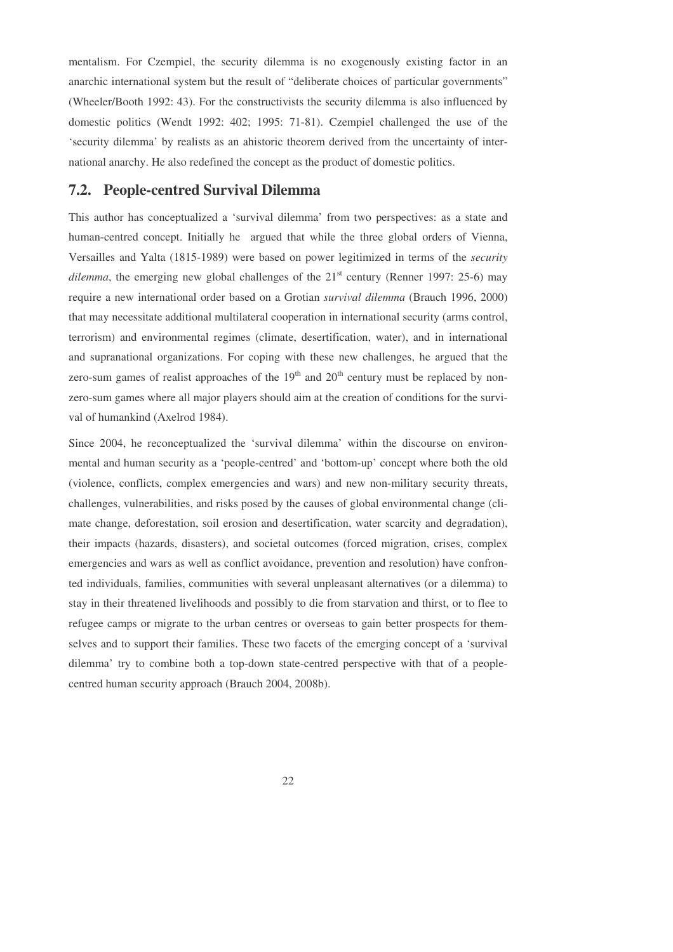mentalism. For Czempiel, the security dilemma is no exogenously existing factor in an anarchic international system but the result of "deliberate choices of particular governments" (Wheeler/Booth 1992: 43). For the constructivists the security dilemma is also influenced by domestic politics (Wendt 1992: 402; 1995: 71-81). Czempiel challenged the use of the 'security dilemma' by realists as an ahistoric theorem derived from the uncertainty of international anarchy. He also redefined the concept as the product of domestic politics.

#### **7.2. People-centred Survival Dilemma**

This author has conceptualized a 'survival dilemma' from two perspectives: as a state and human-centred concept. Initially he argued that while the three global orders of Vienna, Versailles and Yalta (1815-1989) were based on power legitimized in terms of the *security*  $dilemma$ , the emerging new global challenges of the  $21<sup>st</sup>$  century (Renner 1997: 25-6) may require a new international order based on a Grotian *survival dilemma* (Brauch 1996, 2000) that may necessitate additional multilateral cooperation in international security (arms control, terrorism) and environmental regimes (climate, desertification, water), and in international and supranational organizations. For coping with these new challenges, he argued that the zero-sum games of realist approaches of the  $19<sup>th</sup>$  and  $20<sup>th</sup>$  century must be replaced by nonzero-sum games where all major players should aim at the creation of conditions for the survival of humankind (Axelrod 1984).

Since 2004, he reconceptualized the 'survival dilemma' within the discourse on environmental and human security as a 'people-centred' and 'bottom-up' concept where both the old (violence, conflicts, complex emergencies and wars) and new non-military security threats, challenges, vulnerabilities, and risks posed by the causes of global environmental change (climate change, deforestation, soil erosion and desertification, water scarcity and degradation), their impacts (hazards, disasters), and societal outcomes (forced migration, crises, complex emergencies and wars as well as conflict avoidance, prevention and resolution) have confronted individuals, families, communities with several unpleasant alternatives (or a dilemma) to stay in their threatened livelihoods and possibly to die from starvation and thirst, or to flee to refugee camps or migrate to the urban centres or overseas to gain better prospects for themselves and to support their families. These two facets of the emerging concept of a 'survival dilemma' try to combine both a top-down state-centred perspective with that of a peoplecentred human security approach (Brauch 2004, 2008b).